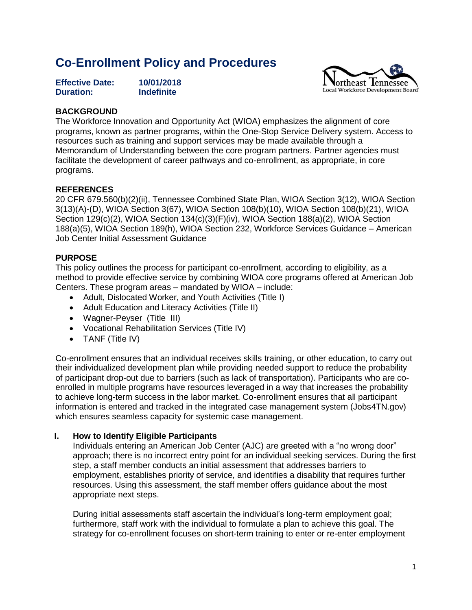# **Co-Enrollment Policy and Procedures**

| <b>Effective Date:</b> | 10/01/2018        |
|------------------------|-------------------|
| <b>Duration:</b>       | <b>Indefinite</b> |



#### **BACKGROUND**

The Workforce Innovation and Opportunity Act (WIOA) emphasizes the alignment of core programs, known as partner programs, within the One-Stop Service Delivery system. Access to resources such as training and support services may be made available through a Memorandum of Understanding between the core program partners. Partner agencies must facilitate the development of career pathways and co-enrollment, as appropriate, in core programs.

### **REFERENCES**

20 CFR 679.560(b)(2)(ii), Tennessee Combined State Plan, WIOA Section 3(12), WIOA Section 3(13)(A)-(D), WIOA Section 3(67), WIOA Section 108(b)(10), WIOA Section 108(b)(21), WIOA Section 129(c)(2), WIOA Section 134(c)(3)(F)(iv), WIOA Section 188(a)(2), WIOA Section 188(a)(5), WIOA Section 189(h), WIOA Section 232, Workforce Services Guidance – American Job Center Initial Assessment Guidance

### **PURPOSE**

This policy outlines the process for participant co-enrollment, according to eligibility, as a method to provide effective service by combining WIOA core programs offered at American Job Centers. These program areas – mandated by WIOA – include:

- Adult, Dislocated Worker, and Youth Activities (Title I)
- Adult Education and Literacy Activities (Title II)
- Wagner-Peyser (Title III)
- Vocational Rehabilitation Services (Title IV)
- TANF (Title IV)

Co-enrollment ensures that an individual receives skills training, or other education, to carry out their individualized development plan while providing needed support to reduce the probability of participant drop-out due to barriers (such as lack of transportation). Participants who are coenrolled in multiple programs have resources leveraged in a way that increases the probability to achieve long-term success in the labor market. Co-enrollment ensures that all participant information is entered and tracked in the integrated case management system (Jobs4TN.gov) which ensures seamless capacity for systemic case management.

#### **I. How to Identify Eligible Participants**

Individuals entering an American Job Center (AJC) are greeted with a "no wrong door" approach; there is no incorrect entry point for an individual seeking services. During the first step, a staff member conducts an initial assessment that addresses barriers to employment, establishes priority of service, and identifies a disability that requires further resources. Using this assessment, the staff member offers guidance about the most appropriate next steps.

During initial assessments staff ascertain the individual's long-term employment goal; furthermore, staff work with the individual to formulate a plan to achieve this goal. The strategy for co-enrollment focuses on short-term training to enter or re-enter employment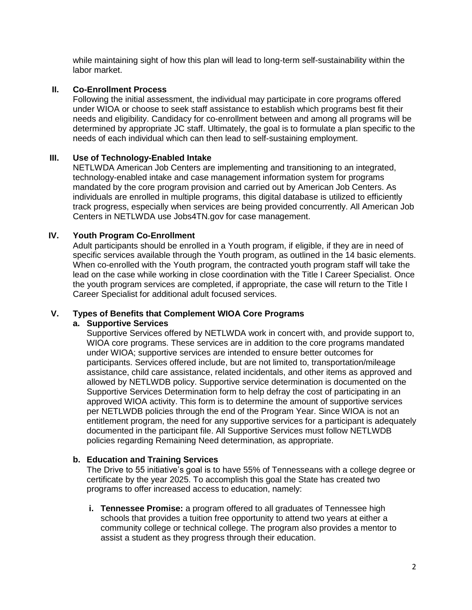while maintaining sight of how this plan will lead to long-term self-sustainability within the labor market.

### **II. Co-Enrollment Process**

Following the initial assessment, the individual may participate in core programs offered under WIOA or choose to seek staff assistance to establish which programs best fit their needs and eligibility. Candidacy for co-enrollment between and among all programs will be determined by appropriate JC staff. Ultimately, the goal is to formulate a plan specific to the needs of each individual which can then lead to self-sustaining employment.

### **III. Use of Technology-Enabled Intake**

NETLWDA American Job Centers are implementing and transitioning to an integrated, technology-enabled intake and case management information system for programs mandated by the core program provision and carried out by American Job Centers. As individuals are enrolled in multiple programs, this digital database is utilized to efficiently track progress, especially when services are being provided concurrently. All American Job Centers in NETLWDA use Jobs4TN.gov for case management.

### **IV. Youth Program Co-Enrollment**

Adult participants should be enrolled in a Youth program, if eligible, if they are in need of specific services available through the Youth program, as outlined in the 14 basic elements. When co-enrolled with the Youth program, the contracted youth program staff will take the lead on the case while working in close coordination with the Title I Career Specialist. Once the youth program services are completed, if appropriate, the case will return to the Title I Career Specialist for additional adult focused services.

#### **V. Types of Benefits that Complement WIOA Core Programs**

#### **a. Supportive Services**

Supportive Services offered by NETLWDA work in concert with, and provide support to, WIOA core programs. These services are in addition to the core programs mandated under WIOA; supportive services are intended to ensure better outcomes for participants. Services offered include, but are not limited to, transportation/mileage assistance, child care assistance, related incidentals, and other items as approved and allowed by NETLWDB policy. Supportive service determination is documented on the Supportive Services Determination form to help defray the cost of participating in an approved WIOA activity. This form is to determine the amount of supportive services per NETLWDB policies through the end of the Program Year. Since WIOA is not an entitlement program, the need for any supportive services for a participant is adequately documented in the participant file. All Supportive Services must follow NETLWDB policies regarding Remaining Need determination, as appropriate.

#### **b. Education and Training Services**

The Drive to 55 initiative's goal is to have 55% of Tennesseans with a college degree or certificate by the year 2025. To accomplish this goal the State has created two programs to offer increased access to education, namely:

**i. Tennessee Promise:** a program offered to all graduates of Tennessee high schools that provides a tuition free opportunity to attend two years at either a community college or technical college. The program also provides a mentor to assist a student as they progress through their education.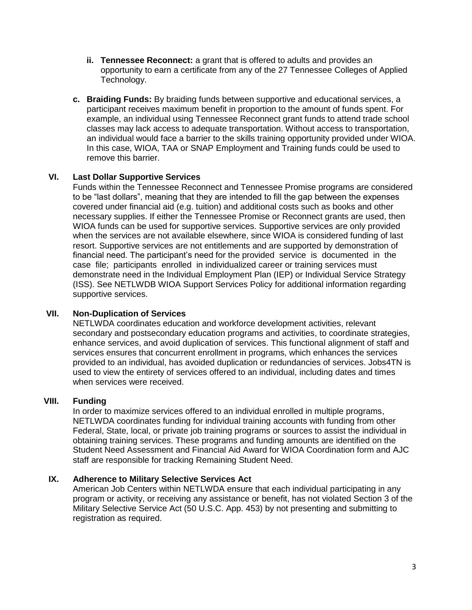- **ii. Tennessee Reconnect:** a grant that is offered to adults and provides an opportunity to earn a certificate from any of the 27 Tennessee Colleges of Applied Technology.
- **c. Braiding Funds:** By braiding funds between supportive and educational services, a participant receives maximum benefit in proportion to the amount of funds spent. For example, an individual using Tennessee Reconnect grant funds to attend trade school classes may lack access to adequate transportation. Without access to transportation, an individual would face a barrier to the skills training opportunity provided under WIOA. In this case, WIOA, TAA or SNAP Employment and Training funds could be used to remove this barrier.

### **VI. Last Dollar Supportive Services**

Funds within the Tennessee Reconnect and Tennessee Promise programs are considered to be "last dollars", meaning that they are intended to fill the gap between the expenses covered under financial aid (e.g. tuition) and additional costs such as books and other necessary supplies. If either the Tennessee Promise or Reconnect grants are used, then WIOA funds can be used for supportive services. Supportive services are only provided when the services are not available elsewhere, since WIOA is considered funding of last resort. Supportive services are not entitlements and are supported by demonstration of financial need. The participant's need for the provided service is documented in the case file; participants enrolled in individualized career or training services must demonstrate need in the Individual Employment Plan (IEP) or Individual Service Strategy (ISS). See NETLWDB WIOA Support Services Policy for additional information regarding supportive services.

## **VII. Non-Duplication of Services**

NETLWDA coordinates education and workforce development activities, relevant secondary and postsecondary education programs and activities, to coordinate strategies, enhance services, and avoid duplication of services. This functional alignment of staff and services ensures that concurrent enrollment in programs, which enhances the services provided to an individual, has avoided duplication or redundancies of services. Jobs4TN is used to view the entirety of services offered to an individual, including dates and times when services were received.

#### **VIII. Funding**

In order to maximize services offered to an individual enrolled in multiple programs, NETLWDA coordinates funding for individual training accounts with funding from other Federal, State, local, or private job training programs or sources to assist the individual in obtaining training services. These programs and funding amounts are identified on the Student Need Assessment and Financial Aid Award for WIOA Coordination form and AJC staff are responsible for tracking Remaining Student Need.

#### **IX. Adherence to Military Selective Services Act**

American Job Centers within NETLWDA ensure that each individual participating in any program or activity, or receiving any assistance or benefit, has not violated Section 3 of the Military Selective Service Act (50 U.S.C. App. 453) by not presenting and submitting to registration as required.